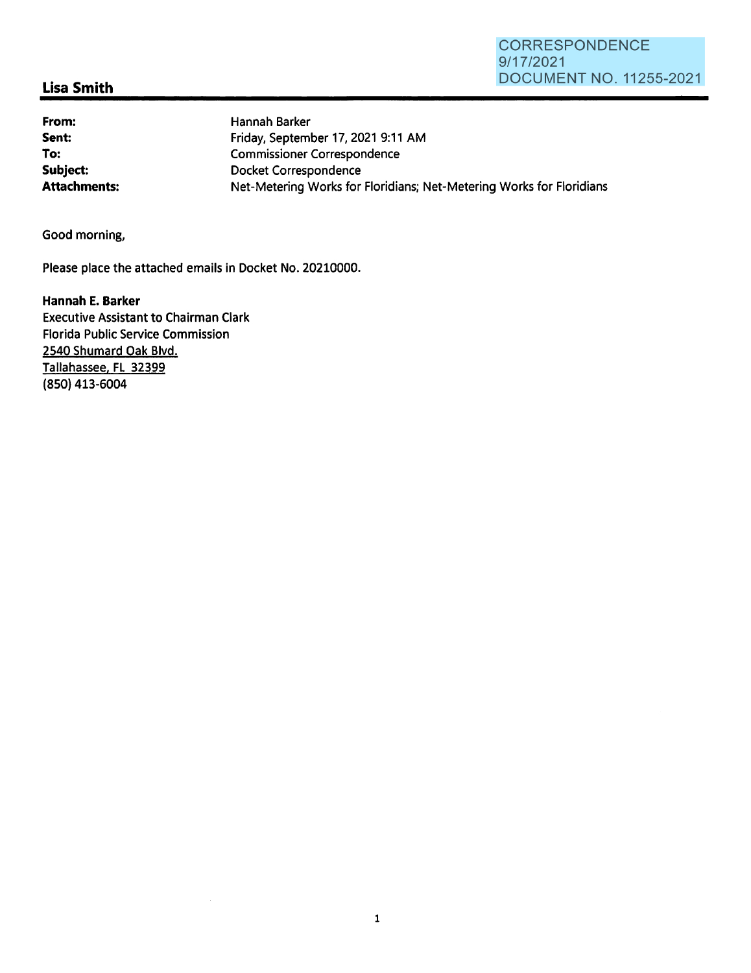## **Lisa Smith**

**From: Sent: To: Subject:** 

Hannah Barker Friday, September 17, 2021 9:11 AM Commissioner Correspondence Docket Correspondence **Attachments:** Net-Metering Works for Floridians; Net-Metering Works for Floridians

Good morning,

Please place the attached emails in Docket No. 20210000.

**Hannah E. Barker**  Executive Assistant to Chairman Clark Florida Public Service Commission 2540 Shumard Oak Blvd. Tallahassee. FL 32399 (850) 413-6004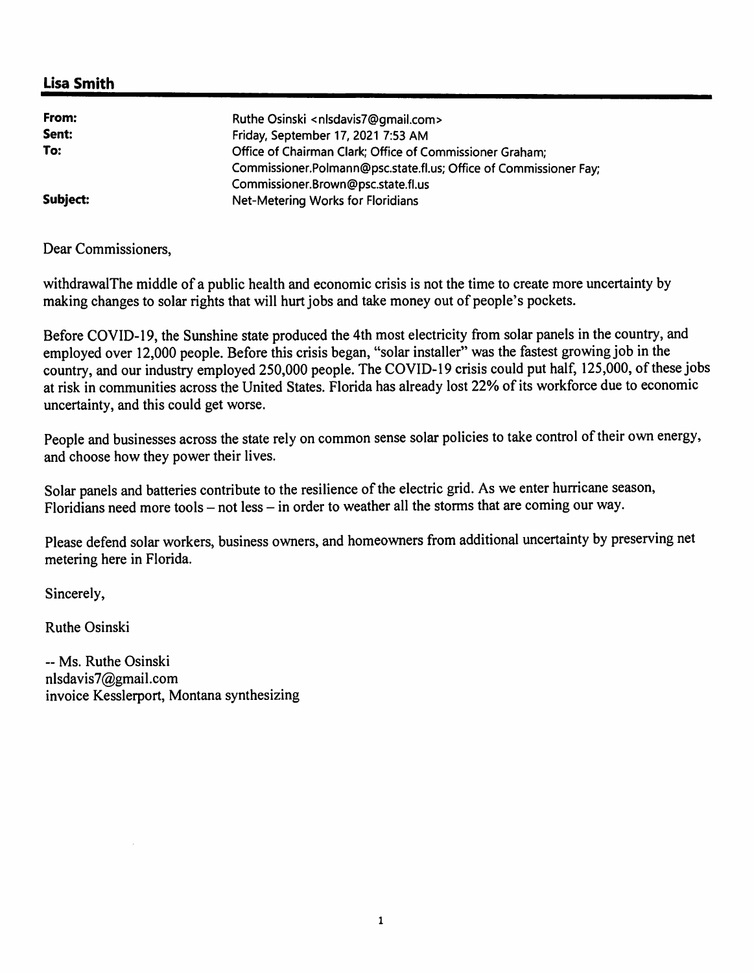## **Lisa Smith**

| From:    | Ruthe Osinski <nlsdavis7@gmail.com></nlsdavis7@gmail.com>         |
|----------|-------------------------------------------------------------------|
| Sent:    | Friday, September 17, 2021 7:53 AM                                |
| To:      | Office of Chairman Clark; Office of Commissioner Graham;          |
|          | Commissioner.Polmann@psc.state.fl.us; Office of Commissioner Fay; |
|          | Commissioner.Brown@psc.state.fl.us                                |
| Subject: | Net-Metering Works for Floridians                                 |

Dear Commissioners,

withdrawalThe middle of a public health and economic crisis is not the time to create more uncertainty by making changes to solar rights that will hurt jobs and take money out of people's pockets.

Before COVID-19, the Sunshine state produced the 4th most electricity from solar panels in the country, and employed over 12,000 people. Before this crisis began, "solar installer" was the fastest growing job in the country, and our industry employed 250,000 people. The COVID-19 crisis could put half, 125,000, of these jobs at risk in communities across the United States. Florida has already lost 22% of its workforce due to economic uncertainty, and this could get worse.

People and businesses across the state rely on common sense solar policies to take control of their own energy, and choose how they power their lives.

Solar panels and batteries contribute to the resilience of the electric grid. As we enter hurricane season, Floridians need more tools - not less - in order to weather all the storms that are coming our way.

Please defend solar workers, business owners, and homeowners from additional uncertainty by preserving net metering here in Florida.

Sincerely,

Ruthe Osinski

-- Ms. Ruthe Osinski nlsdavis7@gmail.com invoice Kesslerport, Montana synthesizing